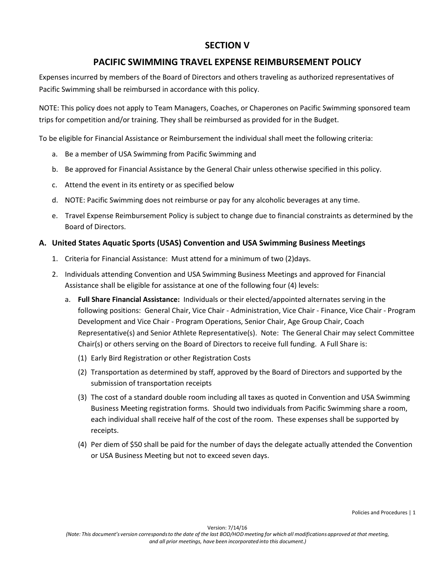# **SECTION V**

## **PACIFIC SWIMMING TRAVEL EXPENSE REIMBURSEMENT POLICY**

Expenses incurred by members of the Board of Directors and others traveling as authorized representatives of Pacific Swimming shall be reimbursed in accordance with this policy.

NOTE: This policy does not apply to Team Managers, Coaches, or Chaperones on Pacific Swimming sponsored team trips for competition and/or training. They shall be reimbursed as provided for in the Budget.

To be eligible for Financial Assistance or Reimbursement the individual shall meet the following criteria:

- a. Be a member of USA Swimming from Pacific Swimming and
- b. Be approved for Financial Assistance by the General Chair unless otherwise specified in this policy.
- c. Attend the event in its entirety or as specified below
- d. NOTE: Pacific Swimming does not reimburse or pay for any alcoholic beverages at any time.
- e. Travel Expense Reimbursement Policy is subject to change due to financial constraints as determined by the Board of Directors.

#### **A. United States Aquatic Sports (USAS) Convention and USA Swimming Business Meetings**

- 1. Criteria for Financial Assistance: Must attend for a minimum of two (2)days.
- 2. Individuals attending Convention and USA Swimming Business Meetings and approved for Financial Assistance shall be eligible for assistance at one of the following four (4) levels:
	- a. **Full Share Financial Assistance:** Individuals or their elected/appointed alternates serving in the following positions: General Chair, Vice Chair - Administration, Vice Chair - Finance, Vice Chair - Program Development and Vice Chair - Program Operations, Senior Chair, Age Group Chair, Coach Representative(s) and Senior Athlete Representative(s). Note: The General Chair may select Committee Chair(s) or others serving on the Board of Directors to receive full funding. A Full Share is:
		- (1) Early Bird Registration or other Registration Costs
		- (2) Transportation as determined by staff, approved by the Board of Directors and supported by the submission of transportation receipts
		- (3) The cost of a standard double room including all taxes as quoted in Convention and USA Swimming Business Meeting registration forms. Should two individuals from Pacific Swimming share a room, each individual shall receive half of the cost of the room. These expenses shall be supported by receipts.
		- (4) Per diem of \$50 shall be paid for the number of days the delegate actually attended the Convention or USA Business Meeting but not to exceed seven days.

Policies and Procedures | 1

Version: 7/14/16 (Note: This document's version corresponds to the date of the last BOD/HOD meeting for which all modifications approved at that meeting, *and all prior meetings, have been incorporated into this document.)*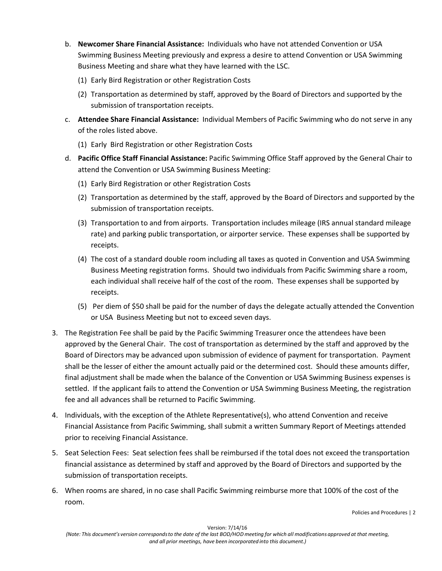- b. **Newcomer Share Financial Assistance:** Individuals who have not attended Convention or USA Swimming Business Meeting previously and express a desire to attend Convention or USA Swimming Business Meeting and share what they have learned with the LSC.
	- (1) Early Bird Registration or other Registration Costs
	- (2) Transportation as determined by staff, approved by the Board of Directors and supported by the submission of transportation receipts.
- c. **Attendee Share Financial Assistance:** Individual Members of Pacific Swimming who do not serve in any of the roles listed above.
	- (1) Early Bird Registration or other Registration Costs
- d. **Pacific Office Staff Financial Assistance:** Pacific Swimming Office Staff approved by the General Chair to attend the Convention or USA Swimming Business Meeting:
	- (1) Early Bird Registration or other Registration Costs
	- (2) Transportation as determined by the staff, approved by the Board of Directors and supported by the submission of transportation receipts.
	- (3) Transportation to and from airports. Transportation includes mileage (IRS annual standard mileage rate) and parking public transportation, or airporter service. These expenses shall be supported by receipts.
	- (4) The cost of a standard double room including all taxes as quoted in Convention and USA Swimming Business Meeting registration forms. Should two individuals from Pacific Swimming share a room, each individual shall receive half of the cost of the room. These expenses shall be supported by receipts.
	- (5) Per diem of \$50 shall be paid for the number of days the delegate actually attended the Convention or USA Business Meeting but not to exceed seven days.
- 3. The Registration Fee shall be paid by the Pacific Swimming Treasurer once the attendees have been approved by the General Chair. The cost of transportation as determined by the staff and approved by the Board of Directors may be advanced upon submission of evidence of payment for transportation. Payment shall be the lesser of either the amount actually paid or the determined cost. Should these amounts differ, final adjustment shall be made when the balance of the Convention or USA Swimming Business expenses is settled. If the applicant fails to attend the Convention or USA Swimming Business Meeting, the registration fee and all advances shall be returned to Pacific Swimming.
- 4. Individuals, with the exception of the Athlete Representative(s), who attend Convention and receive Financial Assistance from Pacific Swimming, shall submit a written Summary Report of Meetings attended prior to receiving Financial Assistance.
- 5. Seat Selection Fees: Seat selection fees shall be reimbursed if the total does not exceed the transportation financial assistance as determined by staff and approved by the Board of Directors and supported by the submission of transportation receipts.
- 6. When rooms are shared, in no case shall Pacific Swimming reimburse more that 100% of the cost of the room.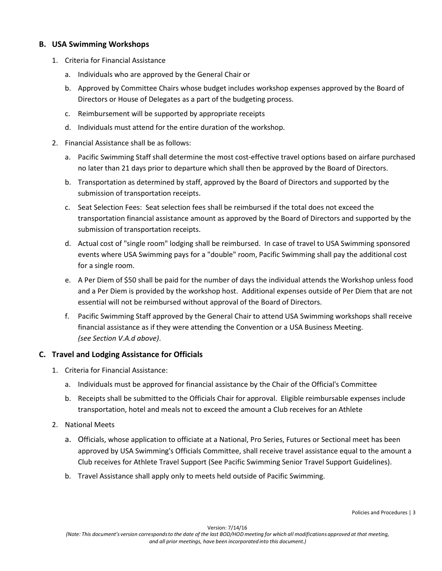### **B. USA Swimming Workshops**

- 1. Criteria for Financial Assistance
	- a. Individuals who are approved by the General Chair or
	- b. Approved by Committee Chairs whose budget includes workshop expenses approved by the Board of Directors or House of Delegates as a part of the budgeting process.
	- c. Reimbursement will be supported by appropriate receipts
	- d. Individuals must attend for the entire duration of the workshop.
- 2. Financial Assistance shall be as follows:
	- a. Pacific Swimming Staff shall determine the most cost-effective travel options based on airfare purchased no later than 21 days prior to departure which shall then be approved by the Board of Directors.
	- b. Transportation as determined by staff, approved by the Board of Directors and supported by the submission of transportation receipts.
	- c. Seat Selection Fees: Seat selection fees shall be reimbursed if the total does not exceed the transportation financial assistance amount as approved by the Board of Directors and supported by the submission of transportation receipts.
	- d. Actual cost of "single room" lodging shall be reimbursed. In case of travel to USA Swimming sponsored events where USA Swimming pays for a "double" room, Pacific Swimming shall pay the additional cost for a single room.
	- e. A Per Diem of \$50 shall be paid for the number of days the individual attends the Workshop unless food and a Per Diem is provided by the workshop host. Additional expenses outside of Per Diem that are not essential will not be reimbursed without approval of the Board of Directors.
	- f. Pacific Swimming Staff approved by the General Chair to attend USA Swimming workshops shall receive financial assistance as if they were attending the Convention or a USA Business Meeting. *(see Section V.A.d above)*.

## **C. Travel and Lodging Assistance for Officials**

- 1. Criteria for Financial Assistance:
	- a. Individuals must be approved for financial assistance by the Chair of the Official's Committee
	- b. Receipts shall be submitted to the Officials Chair for approval. Eligible reimbursable expenses include transportation, hotel and meals not to exceed the amount a Club receives for an Athlete
- 2. National Meets
	- a. Officials, whose application to officiate at a National, Pro Series, Futures or Sectional meet has been approved by USA Swimming's Officials Committee, shall receive travel assistance equal to the amount a Club receives for Athlete Travel Support (See Pacific Swimming Senior Travel Support Guidelines).
	- b. Travel Assistance shall apply only to meets held outside of Pacific Swimming.